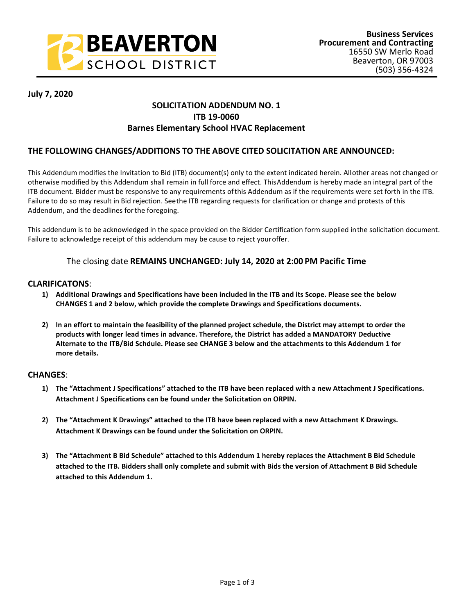

### **July 7, 2020**

## **SOLICITATION ADDENDUM NO. 1 ITB 19-0060 Barnes Elementary School HVAC Replacement**

### **THE FOLLOWING CHANGES/ADDITIONS TO THE ABOVE CITED SOLICITATION ARE ANNOUNCED:**

This Addendum modifies the Invitation to Bid (ITB) document(s) only to the extent indicated herein. Allother areas not changed or otherwise modified by this Addendum shall remain in full force and effect. ThisAddendum is hereby made an integral part of the ITB document. Bidder must be responsive to any requirements ofthis Addendum as if the requirements were set forth in the ITB. Failure to do so may result in Bid rejection. Seethe ITB regarding requests for clarification or change and protests of this Addendum, and the deadlines forthe foregoing.

This addendum is to be acknowledged in the space provided on the Bidder Certification form supplied inthe solicitation document. Failure to acknowledge receipt of this addendum may be cause to reject youroffer.

#### The closing date **REMAINS UNCHANGED: July 14, 2020 at 2:00 PM Pacific Time**

#### **CLARIFICATONS**:

- **1) Additional Drawings and Specifications have been included in the ITB and its Scope. Please see the below CHANGES 1 and 2 below, which provide the complete Drawings and Specifications documents.**
- **2) In an effort to maintain the feasibility of the planned project schedule, the District may attempt to order the products with longer lead times in advance. Therefore, the District has added a MANDATORY Deductive Alternate to the ITB/Bid Schdule. Please see CHANGE 3 below and the attachments to this Addendum 1 for more details.**

#### **CHANGES**:

- **1) The "Attachment J Specifications" attached to the ITB have been replaced with a new Attachment J Specifications. Attachment J Specifications can be found under the Solicitation on ORPIN.**
- **2) The "Attachment K Drawings" attached to the ITB have been replaced with a new Attachment K Drawings. Attachment K Drawings can be found under the Solicitation on ORPIN.**
- **3) The "Attachment B Bid Schedule" attached to this Addendum 1 hereby replaces the Attachment B Bid Schedule attached to the ITB. Bidders shall only complete and submit with Bids the version of Attachment B Bid Schedule attached to this Addendum 1.**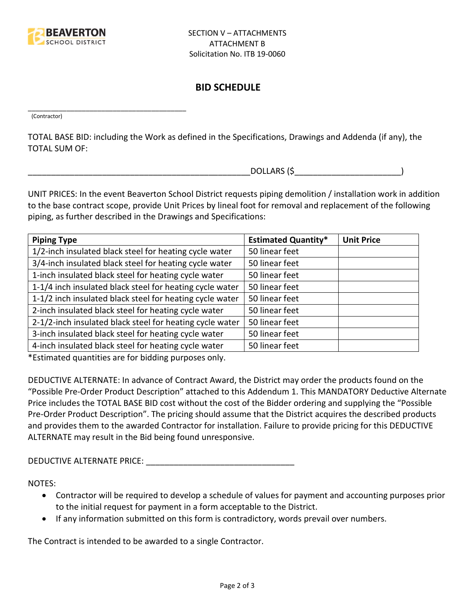

\_\_\_\_\_\_\_\_\_\_\_\_\_\_\_\_\_\_\_\_\_\_\_\_\_\_\_\_\_\_\_\_\_\_\_\_\_\_\_\_\_

# **BID SCHEDULE**

(Contractor)

TOTAL BASE BID: including the Work as defined in the Specifications, Drawings and Addenda (if any), the TOTAL SUM OF:

 $DOLLARS$  (\$)

UNIT PRICES: In the event Beaverton School District requests piping demolition / installation work in addition to the base contract scope, provide Unit Prices by lineal foot for removal and replacement of the following piping, as further described in the Drawings and Specifications:

| <b>Piping Type</b>                                       | <b>Estimated Quantity*</b> | <b>Unit Price</b> |
|----------------------------------------------------------|----------------------------|-------------------|
| 1/2-inch insulated black steel for heating cycle water   | 50 linear feet             |                   |
| 3/4-inch insulated black steel for heating cycle water   | 50 linear feet             |                   |
| 1-inch insulated black steel for heating cycle water     | 50 linear feet             |                   |
| 1-1/4 inch insulated black steel for heating cycle water | 50 linear feet             |                   |
| 1-1/2 inch insulated black steel for heating cycle water | 50 linear feet             |                   |
| 2-inch insulated black steel for heating cycle water     | 50 linear feet             |                   |
| 2-1/2-inch insulated black steel for heating cycle water | 50 linear feet             |                   |
| 3-inch insulated black steel for heating cycle water     | 50 linear feet             |                   |
| 4-inch insulated black steel for heating cycle water     | 50 linear feet             |                   |

\*Estimated quantities are for bidding purposes only.

DEDUCTIVE ALTERNATE: In advance of Contract Award, the District may order the products found on the "Possible Pre-Order Product Description" attached to this Addendum 1. This MANDATORY Deductive Alternate Price includes the TOTAL BASE BID cost without the cost of the Bidder ordering and supplying the "Possible Pre-Order Product Description". The pricing should assume that the District acquires the described products and provides them to the awarded Contractor for installation. Failure to provide pricing for this DEDUCTIVE ALTERNATE may result in the Bid being found unresponsive.

DEDUCTIVE ALTERNATE PRICE: **We are all that the set of the set of the set of the set of the set of the set of the set of the set of the set of the set of the set of the set of the set of the set of the set of the set of th** 

NOTES:

- Contractor will be required to develop a schedule of values for payment and accounting purposes prior to the initial request for payment in a form acceptable to the District.
- If any information submitted on this form is contradictory, words prevail over numbers.

The Contract is intended to be awarded to a single Contractor.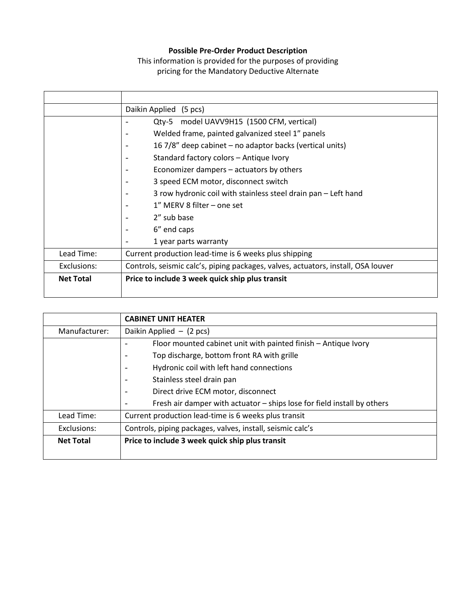## **Possible Pre-Order Product Description**

This information is provided for the purposes of providing pricing for the Mandatory Deductive Alternate

|                  | Daikin Applied (5 pcs)                                                            |
|------------------|-----------------------------------------------------------------------------------|
|                  | Qty-5 model UAVV9H15 (1500 CFM, vertical)                                         |
|                  | Welded frame, painted galvanized steel 1" panels                                  |
|                  | 16 7/8" deep cabinet – no adaptor backs (vertical units)                          |
|                  | Standard factory colors - Antique Ivory                                           |
|                  | Economizer dampers – actuators by others                                          |
|                  | 3 speed ECM motor, disconnect switch                                              |
|                  | 3 row hydronic coil with stainless steel drain pan - Left hand                    |
|                  | 1" MERV 8 filter – one set                                                        |
|                  | 2" sub base                                                                       |
|                  | 6" end caps                                                                       |
|                  | 1 year parts warranty                                                             |
| Lead Time:       | Current production lead-time is 6 weeks plus shipping                             |
| Exclusions:      | Controls, seismic calc's, piping packages, valves, actuators, install, OSA louver |
| <b>Net Total</b> | Price to include 3 week quick ship plus transit                                   |
|                  |                                                                                   |

|                  | <b>CABINET UNIT HEATER</b>                                              |
|------------------|-------------------------------------------------------------------------|
| Manufacturer:    | Daikin Applied $-$ (2 pcs)                                              |
|                  | Floor mounted cabinet unit with painted finish - Antique Ivory          |
|                  | Top discharge, bottom front RA with grille                              |
|                  | Hydronic coil with left hand connections                                |
|                  | Stainless steel drain pan<br>$\overline{\phantom{a}}$                   |
|                  | Direct drive ECM motor, disconnect<br>$\overline{\phantom{a}}$          |
|                  | Fresh air damper with actuator - ships lose for field install by others |
| Lead Time:       | Current production lead-time is 6 weeks plus transit                    |
| Exclusions:      | Controls, piping packages, valves, install, seismic calc's              |
| <b>Net Total</b> | Price to include 3 week quick ship plus transit                         |
|                  |                                                                         |

 $\overline{\phantom{a}}$